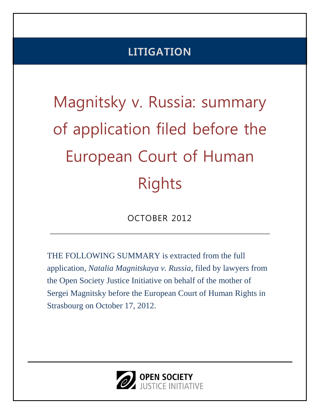## **LITIGATION**

# Magnitsky v. Russia: summary of application filed before the European Court of Human Rights

OCTOBER 2012

THE FOLLOWING SUMMARY is extracted from the full application, *Natalia Magnitskaya v. Russia*, filed by lawyers from the Open Society Justice Initiative on behalf of the mother of Sergei Magnitsky before the European Court of Human Rights in Strasbourg on October 17, 2012.

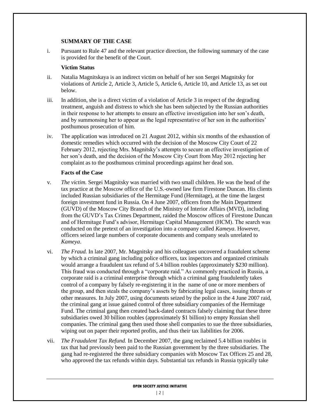#### **SUMMARY OF THE CASE**

i. Pursuant to Rule 47 and the relevant practice direction, the following summary of the case is provided for the benefit of the Court.

#### **Victim Status**

- ii. Natalia Magnitskaya is an indirect victim on behalf of her son Sergei Magnitsky for violations of Article 2, Article 3, Article 5, Article 6, Article 10, and Article 13, as set out below.
- iii. In addition, she is a direct victim of a violation of Article 3 in respect of the degrading treatment, anguish and distress to which she has been subjected by the Russian authorities in their response to her attempts to ensure an effective investigation into her son's death, and by summonsing her to appear as the legal representative of her son in the authorities' posthumous prosecution of him.
- iv. The application was introduced on 21 August 2012, within six months of the exhaustion of domestic remedies which occurred with the decision of the Moscow City Court of 22 February 2012, rejecting Mrs. Magnitsky's attempts to secure an effective investigation of her son's death, and the decision of the Moscow City Court from May 2012 rejecting her complaint as to the posthumous criminal proceedings against her dead son.

#### **Facts of the Case**

- v. *The victim.* Sergei Magnitsky was married with two small children. He was the head of the tax practice at the Moscow office of the U.S.-owned law firm Firestone Duncan. His clients included Russian subsidiaries of the Hermitage Fund (Hermitage), at the time the largest foreign investment fund in Russia. On 4 June 2007, officers from the Main Department (GUVD) of the Moscow City Branch of the Ministry of Interior Affairs (MVD), including from the GUVD's Tax Crimes Department, raided the Moscow offices of Firestone Duncan and of Hermitage Fund's advisor, Hermitage Capital Management (HCM). The search was conducted on the pretext of an investigation into a company called *Kameya*. However, officers seized large numbers of corporate documents and company seals unrelated to *Kameya*.
- vi. *The Fraud.* In late 2007, Mr. Magnitsky and his colleagues uncovered a fraudulent scheme by which a criminal gang including police officers, tax inspectors and organized criminals would arrange a fraudulent tax refund of 5.4 billion roubles (approximately \$230 million). This fraud was conducted through a "corporate raid." As commonly practiced in Russia, a corporate raid is a criminal enterprise through which a criminal gang fraudulently takes control of a company by falsely re-registering it in the name of one or more members of the group, and then steals the company's assets by fabricating legal cases, issuing threats or other measures. In July 2007, using documents seized by the police in the 4 June 2007 raid, the criminal gang at issue gained control of three subsidiary companies of the Hermitage Fund. The criminal gang then created back-dated contracts falsely claiming that these three subsidiaries owed 30 billion roubles (approximately \$1 billion) to empty Russian shell companies. The criminal gang then used those shell companies to sue the three subsidiaries, wiping out on paper their reported profits, and thus their tax liabilities for 2006.
- vii. *The Fraudulent Tax Refund.* In December 2007, the gang reclaimed 5.4 billion roubles in tax that had previously been paid to the Russian government by the three subsidiaries. The gang had re-registered the three subsidiary companies with Moscow Tax Offices 25 and 28, who approved the tax refunds within days. Substantial tax refunds in Russia typically take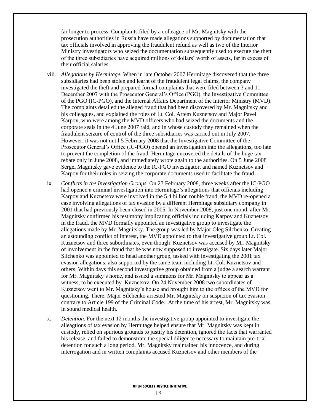far longer to process. Complaints filed by a colleague of Mr. Magnitsky with the prosecution authorities in Russia have made allegations supported by documentation that tax officials involved in approving the fraudulent refund as well as two of the Interior Ministry investigators who seized the documentation subsequently used to execute the theft of the three subsidiaries have acquired millions of dollars' worth of assets, far in excess of their official salaries.

- viii. *Allegations by Hermitage.* When in late October 2007 Hermitage discovered that the three subsidiaries had been stolen and learnt of the fraudulent legal claims, the company investigated the theft and prepared formal complaints that were filed between 3 and 11 December 2007 with the Prosecutor General's Office (PGO), the Investigative Committee of the PGO (IC-PGO), and the Internal Affairs Department of the Interior Ministry (MVD). The complaints detailed the alleged fraud that had been discovered by Mr. Magnitsky and his colleagues, and explained the roles of Lt. Col. Artem Kuznetsov and Major Pavel Karpov, who were among the MVD officers who had seized the documents and the corporate seals in the 4 June 2007 raid, and in whose custody they remained when the fraudulent seizure of control of the three subsidiaries was carried out in July 2007. However, it was not until 5 February 2008 that the Investigative Committee of the Prosecutor General's Office (IC-PGO) opened an investigation into the allegations, too late to prevent the completion of the fraud. Hermitage uncovered the details of the huge tax rebate only in June 2008, and immediately wrote again to the authorities. On 5 June 2008 Sergei Magnitsky gave evidence to the IC-PGO investigator, and named Kuznetsov and Karpov for their roles in seizing the corporate documents used to facilitate the fraud.
- ix. *Conflicts in the Investigation Groups.* On 27 February 2008, three weeks after the IC-PGO had opened a criminal investigation into Hermitage's allegations that officials including Karpov and Kuznetsov were involved in the 5.4 billion rouble fraud, the MVD re-opened a case involving allegations of tax evasion by a different Hermitage subsidiary company in 2001 that had previously been closed in 2005. In November 2008, just one month after Mr. Magnitsky confirmed his testimony implicating officials including Karpov and Kuznetsov in the fraud, the MVD formally appointed an investigative group to investigate the allegations made by Mr. Magnitsky. The group was led by Major Oleg Silchenko. Creating an astounding conflict of interest, the MVD appointed to that investigative group Lt. Col. Kuznetsov and three subordinates, even though Kuznetsov was accused by Mr. Magnitsky of involvement in the fraud that he was now supposed to investigate. Six days later Major Silchenko was appointed to head another group, tasked with investigating the 2001 tax evasion allegations, also supported by the same team including Lt. Col. Kuznetsov and others. Within days this second investigative group obtained from a judge a search warrant for Mr. Magnitsky's home, and issued a summons for Mr. Magnitsky to appear as a witness, to be executed by Kuznetsov. On 24 November 2008 two subordinates of Kuznetsov went to Mr. Magnitsky's house and brought him to the offices of the MVD for questioning. There, Major Silchenko arrested Mr. Magnitsky on suspicion of tax evasion contrary to Article 199 of the Criminal Code. At the time of his arrest, Mr. Magnitsky was in sound medical health.
- x. *Detention.* For the next 12 months the investigative group appointed to investigate the alleagtions of tax evasion by Hermitage helped ensure that Mr. Magnitsky was kept in custody, relied on spurious grounds to justify his detention, ignored the facts that warranted his release, and failed to demonstrate the special diligence necessary to maintain pre-trial detention for such a long period. Mr. Magnitsky maintained his innocence, and during interrogation and in written complaints accused Kuznetsov and other members of the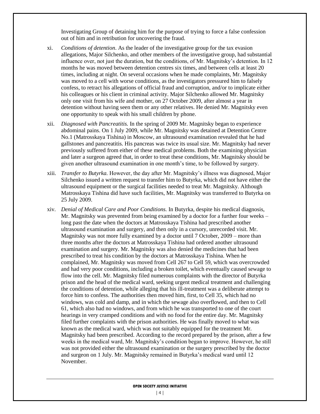Investigating Group of detaining him for the purpose of trying to force a false confession out of him and in retribution for uncovering the fraud.

- xi. *Conditions of detention*. As the leader of the investigative group for the tax evasion allegations, Major Silchenko, and other members of the investigative group, had substantial influence over, not just the duration, but the conditions, of Mr. Magnitsky's detention. In 12 months he was moved between detention centres six times, and between cells at least 20 times, including at night. On several occasions when he made complaints, Mr. Magnitsky was moved to a cell with worse conditions, as the investigators pressured him to falsely confess, to retract his allegations of official fraud and corruption, and/or to implicate either his colleagues or his client in criminal activity. Major Silchenko allowed Mr. Magnitsky only one visit from his wife and mother, on 27 October 2009, after almost a year in detention without having seen them or any other relatives. He denied Mr. Magnitsky even one opportunity to speak with his small children by phone.
- xii. *Diagnosed with Pancreatitis.* In the spring of 2009 Mr. Magnitsky began to experience abdominal pains. On 1 July 2009, while Mr. Magnitsky was detained at Detention Centre No.1 (Matrosskaya Tishina) in Moscow, an ultrasound examination revealed that he had gallstones and pancreatitis. His pancreas was twice its usual size. Mr. Magnitsky had never previously suffered from either of these medical problems. Both the examining physician and later a surgeon agreed that, in order to treat these conditions, Mr. Magnitsky should be given another ultrasound examination in one month's time, to be followed by surgery.
- xiii. *Transfer to Butyrka.* However, the day after Mr. Magnitsky's illness was diagnosed, Major Silchenko issued a written request to transfer him to Butyrka, which did not have either the ultrasound equipment or the surgical facilities needed to treat Mr. Magnitsky. Although Matrosskaya Tishina did have such facilities, Mr. Magnitsky was transferred to Butyrka on 25 July 2009.
- xiv. *Denial of Medical Care and Poor Conditions.* In Butyrka, despite his medical diagnosis, Mr. Magnitsky was prevented from being examined by a doctor for a further four weeks – long past the date when the doctors at Matrosskaya Tishina had prescribed another ultrasound examination and surgery, and then only in a cursory, unrecorded visit. Mr. Magnitsky was not more fully examined by a doctor until 7 October, 2009 – more than three months after the doctors at Matrosskaya Tishina had ordered another ultrasound examination and surgery. Mr. Magnitsky was also denied the medicines that had been prescribed to treat his condition by the doctors at Matrosskaya Tishina. When he complained, Mr. Magnitsky was moved from Cell 267 to Cell 59, which was overcrowded and had very poor conditions, including a broken toilet, which eventually caused sewage to flow into the cell. Mr. Magnitsky filed numerous complaints with the director of Butyrka prison and the head of the medical ward, seeking urgent medical treatment and challenging the conditions of detention, while alleging that his ill-treatment was a deliberate attempt to force him to confess. The authorities then moved him, first, to Cell 35, which had no windows, was cold and damp, and in which the sewage also overflowed, and then to Cell 61, which also had no windows, and from which he was transported to one of the court hearings in very cramped conditions and with no food for the entire day. Mr. Magnitsky filed further complaints with the prison authorities. He was finally moved to what was known as the medical ward, which was not suitably equipped for the treatment Mr. Magnitsky had been prescribed. According to the record prepared by the prison, after a few weeks in the medical ward, Mr. Magnitsky's condition began to improve. However, he still was not provided either the ultrasound examination or the surgery prescribed by the doctor and surgeon on 1 July. Mr. Magnitsky remained in Butyrka's medical ward until 12 November.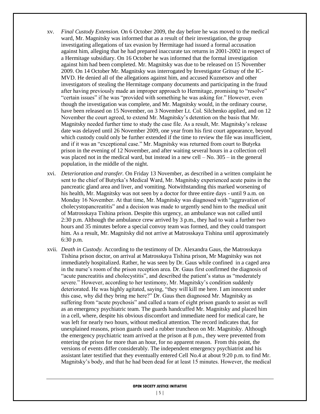- xv. *Final Custody Extension.* On 6 October 2009, the day before he was moved to the medical ward, Mr. Magnitsky was informed that as a result of their investigation, the group investigating allegations of tax evasion by Hermitage had issued a formal accusation against him, alleging that he had prepared inaccurate tax returns in 2001-2002 in respect of a Hermitage subsidiary. On 16 October he was informed that the formal investigation against him had been completed. Mr. Magnitsky was due to be released on 15 November 2009. On 14 October Mr. Magnitsky was interrogated by Investigator Gritsay of the IC-MVD. He denied all of the allegations against him, and accused Kuznetsov and other investigators of stealing the Hermitage company documents and participating in the fraud after having previously made an improper approach to Hermitage, promising to "resolve" "certain issues" if he was "provided with something he was asking for." However, even though the investigation was complete, and Mr. Magnitsky would, in the ordinary course, have been released on 15 November, on 3 November Lt. Col. Silchenko applied, and on 12 November the court agreed, to extend Mr. Magnitsky's detention on the basis that Mr. Magnitsky needed further time to study the case file. As a result, Mr. Magnitsky's release date was delayed until 26 November 2009, one year from his first court appearance, beyond which custody could only be further extended if the time to review the file was insufficient, and if it was an "exceptional case." Mr. Magnitsky was returned from court to Butyrka prison in the evening of 12 November, and after waiting several hours in a collection cell was placed not in the medical ward, but instead in a new cell  $-$  No.  $305 -$  in the general population, in the middle of the night.
- xvi. *Deterioration and transfer.* On Friday 13 November, as described in a written complaint he sent to the chief of Butyrka's Medical Ward, Mr. Magnitsky experienced acute pains in the pancreatic gland area and liver, and vomiting. Notwithstanding this marked worsening of his health, Mr. Magnitsky was not seen by a doctor for three entire days - until 9 a.m. on Monday 16 November. At that time, Mr. Magnitsky was diagnosed with "aggravation of cholecystopancreatitis" and a decision was made to urgently send him to the medical unit of Matrosskaya Tishina prison. Despite this urgency, an ambulance was not called until 2:30 p.m. Although the ambulance crew arrived by 3 p.m., they had to wait a further two hours and 35 minutes before a special convoy team was formed, and they could transport him. As a result, Mr. Magnitsky did not arrive at Matrosskaya Tishina until approximately 6:30 p.m.
- xvii. *Death in Custody.* According to the testimony of Dr. Alexandra Gaus, the Matrosskaya Tishina prison doctor, on arrival at Matrosskaya Tishina prison, Mr Magnitsky was not immediately hospitalized. Rather, he was seen by Dr. Gaus while confined in a caged area in the nurse's room of the prison reception area. Dr. Gaus first confirmed the diagnosis of "acute pancreatitis and cholecystitis", and described the patient's status as "moderately severe." However, according to her testimony, Mr. Magnitsky's condition suddenly deteriorated. He was highly agitated, saying, "they will kill me here. I am innocent under this case, why did they bring me here?" Dr. Gaus then diagnosed Mr. Magnitsky as suffering from "acute psychosis" and called a team of eight prison guards to assist as well as an emergency psychiatric team. The guards handcuffed Mr. Magnitsky and placed him in a cell, where, despite his obvious discomfort and immediate need for medical care, he was left for nearly two hours, without medical attention. The record indicates that, for unexplained reasons, prison guards used a rubber truncheon on Mr. Magnitsky. Although the emergency psychiatric team arrived at the prison at 8 p.m., they were prevented from entering the prison for more than an hour, for no apparent reason. From this point, the versions of events differ considerably. The independent emergency psychiatrist and his assistant later testified that they eventually entered Cell No.4 at about 9:20 p.m. to find Mr. Magnitsky's body, and that he had been dead for at least 15 minutes. However, the medical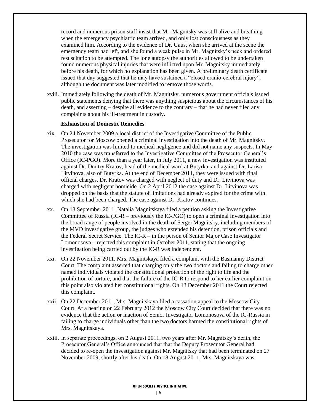record and numerous prison staff insist that Mr. Magnitsky was still alive and breathing when the emergency psychiatric team arrived, and only lost consciousness as they examined him. According to the evidence of Dr. Gaus, when she arrived at the scene the emergency team had left, and she found a weak pulse in Mr. Magnitsky's neck and ordered resuscitation to be attempted. The lone autopsy the authorities allowed to be undertaken found numerous physical injuries that were inflicted upon Mr. Magnitsky immediately before his death, for which no explanation has been given. A preliminary death certificate issued that day suggested that he may have sustained a "closed cranio-cerebral injury", although the document was later modified to remove those words.

xviii. Immediately following the death of Mr. Magnitsky, numerous government officials issued public statements denying that there was anything suspicious about the circumstances of his death, and asserting – despite all evidence to the contrary – that he had never filed any complaints about his ill-treatment in custody.

#### **Exhaustion of Domestic Remedies**

- xix. On 24 November 2009 a local district of the Investigative Committee of the Public Prosecutor for Moscow opened a criminal investigation into the death of Mr. Magnitsky. The investigation was limited to medical negligence and did not name any suspects. In May 2010 the case was transferred to the Investigative Committee of the Prosecutor General's Office (IC-PGO). More than a year later, in July 2011, a new investigation was instituted against Dr. Dmitry Kratov, head of the medical ward at Butyrka, and against Dr. Larisa Litvinova, also of Butyrka. At the end of December 2011, they were issued with final official charges. Dr. Kratov was charged with neglect of duty and Dr. Litvinova was charged with negligent homicide. On 2 April 2012 the case against Dr. Litvinova was dropped on the basis that the statute of limitations had already expired for the crime with which she had been charged. The case against Dr. Kratov continues.
- xx. On 13 September 2011, Natalia Magnitskaya filed a petition asking the Investigative Committee of Russia (IC-R – previously the IC-PGO) to open a criminal investigation into the broad range of people involved in the death of Sergei Magnitsky, including members of the MVD investigative group, the judges who extended his detention, prison officials and the Federal Secret Service. The IC-R – in the person of Senior Major Case Investigator Lomonosova – rejected this complaint in October 2011, stating that the ongoing investigation being carried out by the IC-R was independent.
- xxi. On 22 November 2011, Mrs. Magnitskaya filed a complaint with the Basmanny District Court. The complaint asserted that charging only the two doctors and failing to charge other named individuals violated the constitutional protection of the right to life and the prohibition of torture, and that the failure of the IC-R to respond to her earlier complaint on this point also violated her constitutional rights. On 13 December 2011 the Court rejected this complaint.
- xxii. On 22 December 2011, Mrs. Magnitskaya filed a cassation appeal to the Moscow City Court. At a hearing on 22 February 2012 the Moscow City Court decided that there was no evidence that the action or inaction of Senior Investigator Lomonosova of the IC-Russia in failing to charge individuals other than the two doctors harmed the constitutional rights of Mrs. Magnitskaya.
- xxiii. In separate proceedings, on 2 August 2011, two years after Mr. Magnitsky's death, the Prosecutor General's Office announced that that the Deputy Prosecutor General had decided to re-open the investigation against Mr. Magnitsky that had been terminated on 27 November 2009, shortly after his death. On 18 August 2011, Mrs. Magnitskaya was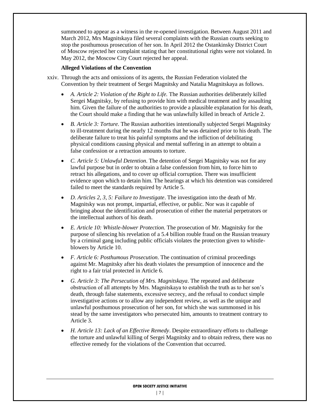summoned to appear as a witness in the re-opened investigation. Between August 2011 and March 2012, Mrs Magnitskaya filed several complaints with the Russian courts seeking to stop the posthumous prosecution of her son. In April 2012 the Ostankinsky District Court of Moscow rejected her complaint stating that her constitutional rights were not violated. In May 2012, the Moscow City Court rejected her appeal.

#### **Alleged Violations of the Convention**

- xxiv. Through the acts and omissions of its agents, the Russian Federation violated the Convention by their treatment of Sergei Magnitsky and Natalia Magnitskaya as follows.
	- *A. Article 2: Violation of the Right to Life.* The Russian authorities deliberately killed Sergei Magnitsky, by refusing to provide him with medical treatment and by assaulting him. Given the failure of the authorities to provide a plausible explanation for his death, the Court should make a finding that he was unlawfully killed in breach of Article 2.
	- *B. Article 3: Torture.* The Russian authorities intentionally subjected Sergei Magnitsky to ill-treatment during the nearly 12 months that he was detained prior to his death. The deliberate failure to treat his painful symptoms and the infliction of debilitating physical conditions causing physical and mental suffering in an attempt to obtain a false confession or a retraction amounts to torture.
	- *C. Article 5: Unlawful Detention*. The detention of Sergei Magnitsky was not for any lawful purpose but in order to obtain a false confession from him, to force him to retract his allegations, and to cover up official corruption. There was insufficient evidence upon which to detain him. The hearings at which his detention was considered failed to meet the standards required by Article 5.
	- *D. Articles 2, 3, 5: Failure to Investigate*. The investigation into the death of Mr. Magnitsky was not prompt, impartial, effective, or public. Nor was it capable of bringing about the identification and prosecution of either the material perpetrators or the intellectual authors of his death.
	- *E. Article 10: Whistle-blower Protection.* The prosecution of Mr. Magnitsky for the purpose of silencing his revelation of a 5.4 billion rouble fraud on the Russian treasury by a criminal gang including public officials violates the protection given to whistleblowers by Article 10.
	- *F. Article 6: Posthumous Prosecution*. The continuation of criminal proceedings against Mr. Magnitsky after his death violates the presumption of innocence and the right to a fair trial protected in Article 6.
	- *G. Article 3: The Persecution of Mrs. Magnitskaya*. The repeated and deliberate obstruction of all attempts by Mrs. Magnitskaya to establish the truth as to her son's death, through false statements, excessive secrecy, and the refusal to conduct simple investigative actions or to allow any independent review, as well as the unique and unlawful posthumous prosecution of her son, for which she was summonsed in his stead by the same investigators who persecuted him, amounts to treatment contrary to Article 3.
	- *H. Article 13: Lack of an Effective Remedy*. Despite extraordinary efforts to challenge the torture and unlawful killing of Sergei Magnitsky and to obtain redress, there was no effective remedy for the violations of the Convention that occurred.